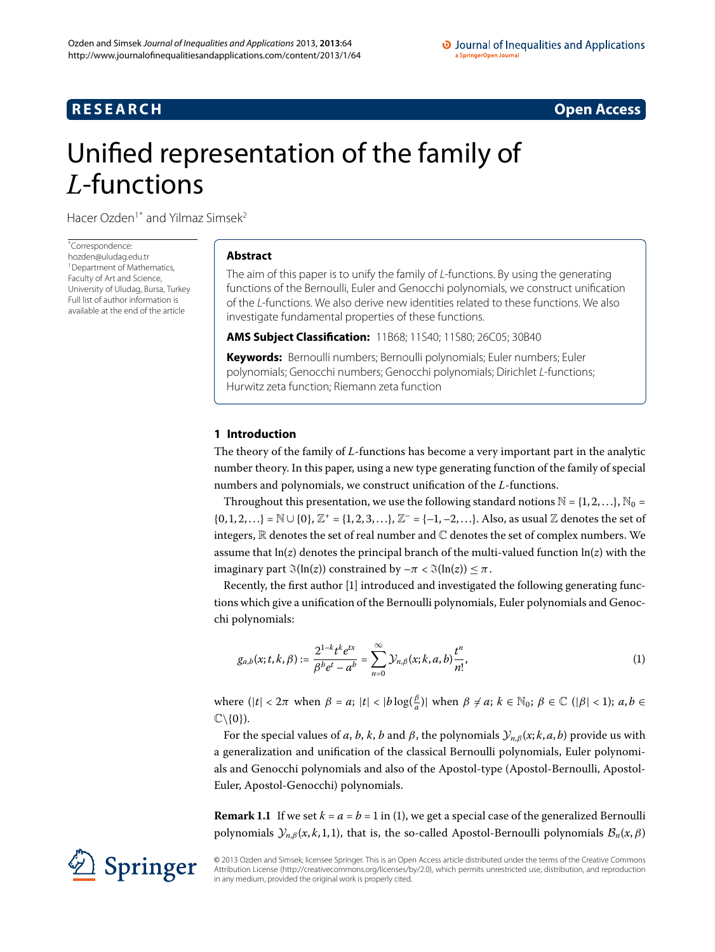# **RESEARCH CONSTRUCTER ACCESS**

# <span id="page-0-0"></span>Unified representation of the family of *L*-functions

Hacer Ozden<sup>1[\\*](#page-0-0)</sup> and Yilmaz Simsek<sup>2</sup>

\* Correspondence: [hozden@uludag.edu.tr](mailto:hozden@uludag.edu.tr) <sup>1</sup> Department of Mathematics, Faculty of Art and Science, University of Uludag, Bursa, Turkey Full list of author information is available at the end of the article

## **Abstract**

The aim of this paper is to unify the family of L-functions. By using the generating functions of the Bernoulli, Euler and Genocchi polynomials, we construct unification of the L-functions. We also derive new identities related to these functions. We also investigate fundamental properties of these functions.

**AMS Subject Classification:** 11B68; 11S40; 11S80; 26C05; 30B40

**Keywords:** Bernoulli numbers; Bernoulli polynomials; Euler numbers; Euler polynomials; Genocchi numbers; Genocchi polynomials; Dirichlet L-functions; Hurwitz zeta function; Riemann zeta function

# **1 Introduction**

The theory of the family of *L*-functions has become a very important part in the analytic number theory. In this paper, using a new type generating function of the family of special numbers and polynomials, we construct unification of the *L*-functions.

Throughout this presentation, we use the following standard notions  $\mathbb{N} = \{1, 2, ...\}$ ,  $\mathbb{N}_0 =$  $\{0, 1, 2, ...\} = \mathbb{N} \cup \{0\}, \mathbb{Z}^+ = \{1, 2, 3, ...\}, \mathbb{Z}^- = \{-1, -2, ...\}.$  Also, as usual  $\mathbb Z$  denotes the set of integers,  $\mathbb R$  denotes the set of real number and  $\mathbb C$  denotes the set of complex numbers. We assume that  $ln(z)$  denotes the principal branch of the multi-valued function  $ln(z)$  with the imaginary part  $\Im(\ln(z))$  constrained by  $-\pi < \Im(\ln(z)) \le \pi$ .

Recently, the first author [\[](#page-8-2)] introduced and investigated the following generating functions which give a unification of the Bernoulli polynomials, Euler polynomials and Genocchi polynomials:

<span id="page-0-1"></span>
$$
g_{a,b}(x;t,k,\beta) := \frac{2^{1-k}t^k e^{tx}}{\beta^b e^t - a^b} = \sum_{n=0}^{\infty} \mathcal{Y}_{n,\beta}(x;k,a,b) \frac{t^n}{n!},
$$
\n(1)

where  $(|t| < 2\pi$  when  $\beta = a$ ;  $|t| < |b \log(\frac{\beta}{a})|$  when  $\beta \neq a$ ;  $k \in \mathbb{N}_0$ ;  $\beta \in \mathbb{C}$   $(|\beta| < 1)$ ;  $a, b \in \mathbb{N}_0$  $\mathbb{C}\backslash\{0\}$ ).

For the special values of *a*, *b*, *k*, *b* and *β*, the polynomials  $\mathcal{Y}_{n,\beta}(x; k, a, b)$  provide us with a generalization and unification of the classical Bernoulli polynomials, Euler polynomials and Genocchi polynomials and also of the Apostol-type (Apostol-Bernoulli, Apostol-Euler, Apostol-Genocchi) polynomials.

**Remark 1.1** If we set  $k = a = b = 1$  in (1[\)](#page-0-1), we get a special case of the generalized Bernoulli polynomials  $\mathcal{Y}_{n,\beta}(x, k, 1, 1)$ , that is, the so-called Apostol-Bernoulli polynomials  $\mathcal{B}_n(x, \beta)$ 

© 2013 Ozden and Simsek; licensee Springer. This is an Open Access article distributed under the terms of the Creative Commons Attribution License [\(http://creativecommons.org/licenses/by/2.0](http://creativecommons.org/licenses/by/2.0)), which permits unrestricted use, distribution, and reproduction in any medium, provided the original work is properly cited.

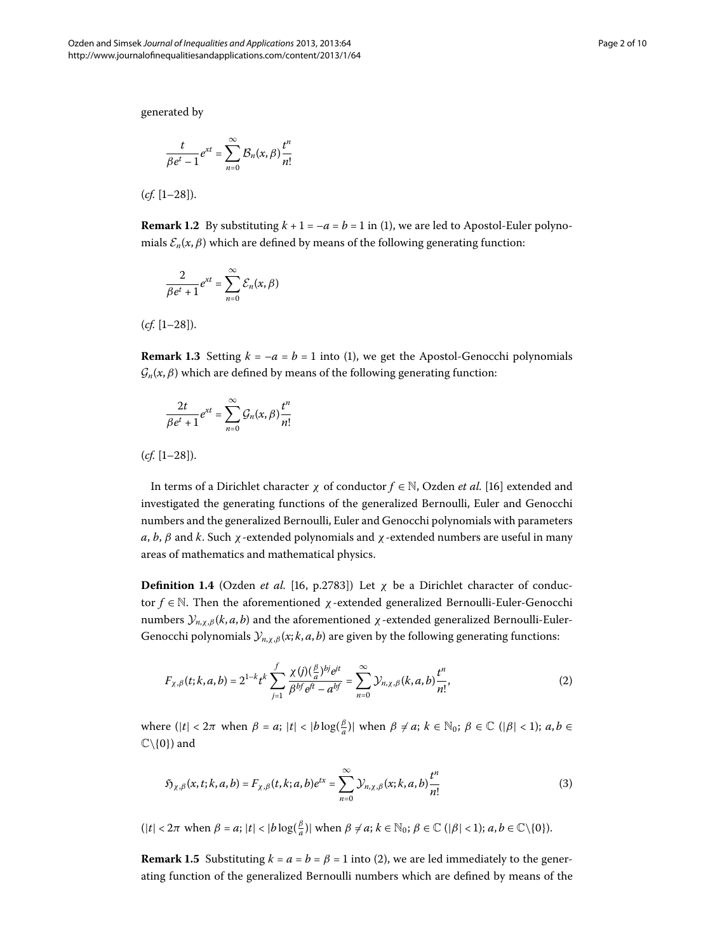generated by

$$
\frac{t}{\beta e^t - 1} e^{xt} = \sum_{n=0}^{\infty} \mathcal{B}_n(x, \beta) \frac{t^n}{n!}
$$

 $(cf. [1-28]).$ 

**Remark 1.2** By substituting  $k + 1 = -a = b = 1$  in [\(](#page-0-1)1), we are led to Apostol-Euler polynomials  $\mathcal{E}_n(x,\beta)$  which are defined by means of the following generating function:

$$
\frac{2}{\beta e^t + 1} e^{xt} = \sum_{n=0}^{\infty} \mathcal{E}_n(x, \beta)
$$

 $(cf. [1-28]).$ 

**Remark 1.3** Setting  $k = -a = b = 1$  into (1[\)](#page-0-1), we get the Apostol-Genocchi polynomials  $\mathcal{G}_n(x,\beta)$  which are defined by means of the following generating function:

$$
\frac{2t}{\beta e^t + 1} e^{xt} = \sum_{n=0}^{\infty} \mathcal{G}_n(x, \beta) \frac{t^n}{n!}
$$

 $(cf. [1-28]).$ 

In terms of a Dirichlet character *χ* of conductor *f* ∈ N, Ozden *et al.* [\[\]](#page-8-4) extended and investigated the generating functions of the generalized Bernoulli, Euler and Genocchi numbers and the generalized Bernoulli, Euler and Genocchi polynomials with parameters *a*, *b*, *β* and *k*. Such *χ*-extended polynomials and *χ*-extended numbers are useful in many areas of mathematics and mathematical physics.

**Definition 1.4** (Ozden *et al.* [16, p.2783]) Let  $\chi$  be a Dirichlet character of conductor *f* ∈ N. Then the aforementioned *χ*-extended generalized Bernoulli-Euler-Genocchi numbers  $\mathcal{Y}_{n,x,\beta}(k, a, b)$  and the aforementioned *χ*-extended generalized Bernoulli-Euler-Genocchi polynomials  $\mathcal{Y}_{n,\chi,\beta}(x; k, a, b)$  are given by the following generating functions:

<span id="page-1-1"></span><span id="page-1-0"></span>
$$
F_{\chi,\beta}(t;k,a,b) = 2^{1-k}t^k \sum_{j=1}^f \frac{\chi(j)(\frac{\beta}{a})^{bj}e^{jt}}{\beta^{bf}e^{ft} - a^{bf}} = \sum_{n=0}^\infty \mathcal{Y}_{n,\chi,\beta}(k,a,b)\frac{t^n}{n!},\tag{2}
$$

where  $(|t| < 2\pi$  when  $\beta = a$ ;  $|t| < |b \log(\frac{\beta}{a})|$  when  $\beta \neq a$ ;  $k \in \mathbb{N}_0$ ;  $\beta \in \mathbb{C}$   $(|\beta| < 1)$ ;  $a, b \in \mathbb{N}_0$  $\mathbb{C}\backslash\{0\}$  and

$$
\mathfrak{H}_{\chi,\beta}(x,t;k,a,b) = F_{\chi,\beta}(t,k;a,b)e^{tx} = \sum_{n=0}^{\infty} \mathcal{Y}_{n,\chi,\beta}(x;k,a,b)\frac{t^n}{n!}
$$
\n(3)

 $(|t| < 2\pi$  when  $\beta = a$ ;  $|t| < |b \log(\frac{\beta}{a})|$  when  $\beta \neq a$ ;  $k \in \mathbb{N}_0$ ;  $\beta \in \mathbb{C}$   $(|\beta| < 1)$ ;  $a, b \in \mathbb{C} \setminus \{0\}$ ).

**Remark 1.5** Substituting  $k = a = b = \beta = 1$  into (2[\)](#page-1-0), we are led immediately to the generating function of the generalized Bernoulli numbers which are defined by means of the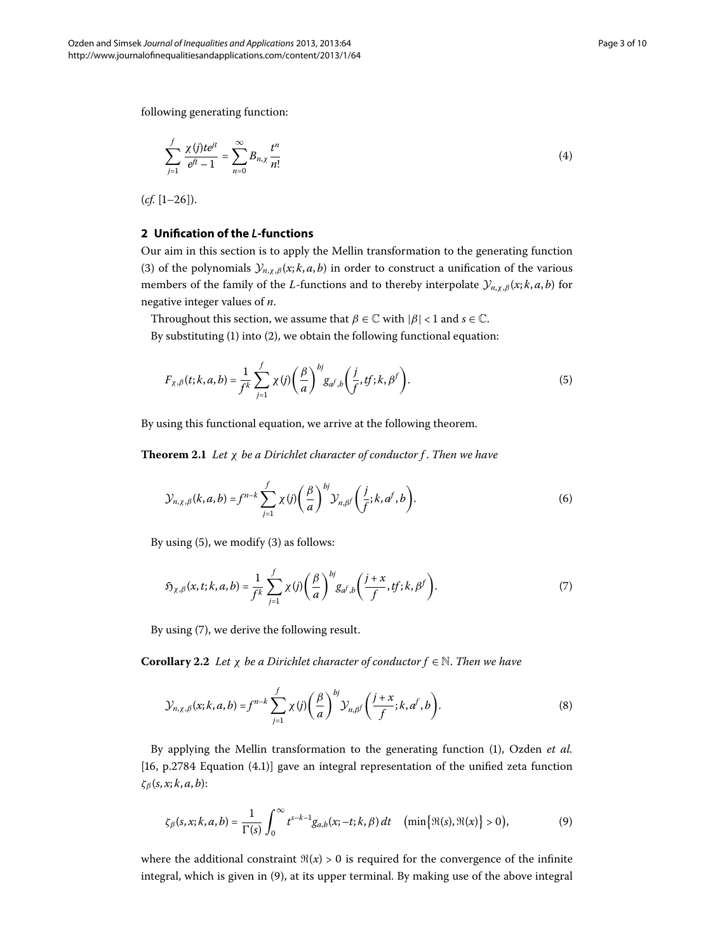following generating function:

<span id="page-2-4"></span>
$$
\sum_{j=1}^{f} \frac{\chi(j)te^{jt}}{e^{ft}-1} = \sum_{n=0}^{\infty} B_{n,\chi} \frac{t^n}{n!}
$$
 (4)

 $(cf. [1-26]).$ 

### **2 Unification of the** *L***-functions**

Our aim in this section is to apply the Mellin transformation to the generating function (3[\)](#page-1-1) of the polynomials  $\mathcal{Y}_{n,\chi,\beta}(x; k, a, b)$  in order to construct a unification of the various members of the family of the *L*-functions and to thereby interpolate  $\mathcal{Y}_{n,\chi,\beta}(x; k, a, b)$  for negative integer values of *n*.

Throughout this section, we assume that  $\beta \in \mathbb{C}$  with  $|\beta|$  < 1 and  $s \in \mathbb{C}$ .

By substituting  $(1)$  $(1)$  into  $(2)$ , we obtain the following functional equation:

<span id="page-2-0"></span>
$$
F_{\chi,\beta}(t;k,a,b) = \frac{1}{f^k} \sum_{j=1}^f \chi(j) \left(\frac{\beta}{a}\right)^{bj} g_{a^f,b} \left(\frac{j}{f},tf;k,\beta^f\right). \tag{5}
$$

By using this functional equation, we arrive at the following theorem.

**Theorem .** *Let χ be a Dirichlet character of conductor f* . *Then we have*

<span id="page-2-1"></span>
$$
\mathcal{Y}_{n,\chi,\beta}(k,a,b) = f^{n-k} \sum_{j=1}^{f} \chi(j) \left(\frac{\beta}{a}\right)^{bj} \mathcal{Y}_{n,\beta}(\frac{j}{f};k,a^f,b).
$$
 (6)

By using  $(5)$  $(5)$ , we modify  $(3)$  as follows:

<span id="page-2-3"></span>
$$
\mathfrak{H}_{\chi,\beta}(x,t;k,a,b) = \frac{1}{f^k} \sum_{j=1}^f \chi(j) \left(\frac{\beta}{a}\right)^{bj} g_{a^f,b} \left(\frac{j+x}{f},tf;k,\beta^f\right). \tag{7}
$$

By using (7), we derive the following result.

**Corollary 2.2** *Let*  $\chi$  *be a Dirichlet character of conductor*  $f \in \mathbb{N}$ *. Then we have* 

<span id="page-2-2"></span>
$$
\mathcal{Y}_{n,\chi,\beta}(x;k,a,b) = f^{n-k} \sum_{j=1}^{f} \chi(j) \left(\frac{\beta}{a}\right)^{bj} \mathcal{Y}_{n,\beta} \left(\frac{j+x}{f};k,a^f,b\right). \tag{8}
$$

By applying the Mellin transformation to the generating function (1[\)](#page-0-1), Ozden et al.  $[16, p.2784]$  $[16, p.2784]$  $[16, p.2784]$  Equation  $(4.1)$ ] gave an integral representation of the unified zeta function *ζβ* (*s*, *x*; *k*, *a*, *b*):

$$
\zeta_{\beta}(s,x;k,a,b)=\frac{1}{\Gamma(s)}\int_0^{\infty}t^{s-k-1}g_{a,b}(x;-t;k,\beta)\,dt\quad\big(\min\big\{\Re(s),\Re(x)\big\}>0\big),\tag{9}
$$

where the additional constraint  $\Re(x) > 0$  is required for the convergence of the infinite integral, which is given in (9[\)](#page-2-2), at its upper terminal. By making use of the above integral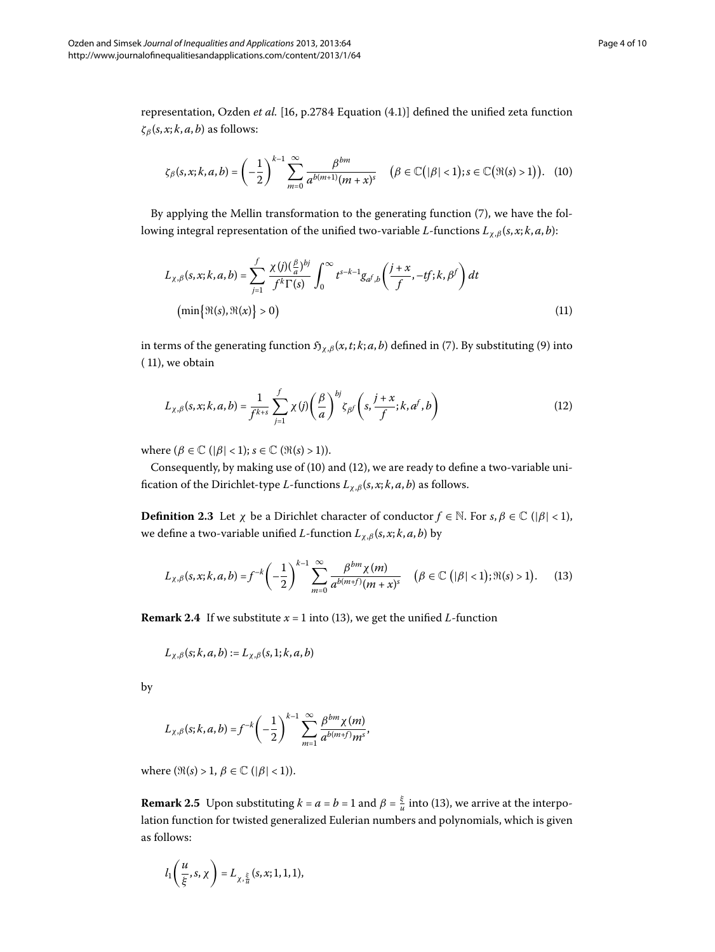representation[,](#page-8-4) Ozden *et al.* [16, p.2784 Equation (4.1)] defined the unified zeta function  $\zeta_{\beta}(s, x; k, a, b)$  as follows:

<span id="page-3-1"></span>
$$
\zeta_{\beta}(s,x;k,a,b)=\left(-\frac{1}{2}\right)^{k-1}\sum_{m=0}^{\infty}\frac{\beta^{bm}}{a^{b(m+1)}(m+x)^s}\quad\big(\beta\in\mathbb{C}\big(|\beta|<1\big);s\in\mathbb{C}\big(\Re(s)>1\big)\big). \quad(10)
$$

<span id="page-3-0"></span>By applying the Mellin transformation to the generating function  $(7)$  $(7)$ , we have the following integral representation of the unified two-variable *L*-functions *L<sup>χ</sup>*,*<sup>β</sup>* (*s*, *x*; *k*, *a*, *b*):

<span id="page-3-2"></span>
$$
L_{\chi,\beta}(s,x;k,a,b) = \sum_{j=1}^{f} \frac{\chi(j)\left(\frac{\beta}{a}\right)^{bj}}{f^k \Gamma(s)} \int_0^\infty t^{s-k-1} g_{a^f,b} \left(\frac{j+x}{f}, -tf;k,\beta^f\right) dt
$$
  
\n
$$
\left(\min\left\{\Re(s), \Re(x)\right\} > 0\right)
$$
\n(11)

in terms of the generating function  $\mathfrak{H}_{\chi,\beta}(x,t;k;a,b)$  defined in (7). By substituting (9) into  $( 11)$ , we obtain

<span id="page-3-3"></span>
$$
L_{\chi,\beta}(s,x;k,a,b) = \frac{1}{f^{k+s}} \sum_{j=1}^{f} \chi(j) \left(\frac{\beta}{a}\right)^{bj} \zeta_{\beta} f\left(s,\frac{j+x}{f};k,a^f,b\right)
$$
(12)

where  $(\beta \in \mathbb{C} \mid |\beta| < 1); s \in \mathbb{C} \text{ } (\Re(s) > 1).$ 

Consequently, by making use of  $(10)$  $(10)$  and  $(12)$ , we are ready to define a two-variable unification of the Dirichlet-type *L*-functions  $L_{\chi,\beta}(s,x;k,a,b)$  as follows.

**Definition 2.3** Let *χ* be a Dirichlet character of conductor  $f \in \mathbb{N}$ . For  $s, \beta \in \mathbb{C}$  ( $|\beta| < 1$ ), we define a two-variable unified *L*-function  $L_{\chi,\beta}(s,x;k,a,b)$  by

$$
L_{\chi,\beta}(s,x;k,a,b) = f^{-k} \left(-\frac{1}{2}\right)^{k-1} \sum_{m=0}^{\infty} \frac{\beta^{bm}\chi(m)}{a^{b(m+f)}(m+x)^s} \quad (\beta \in \mathbb{C} \left( |\beta| < 1 \right); \Re(s) > 1).
$$
 (13)

**Remark 2.4** If we substitute  $x = 1$  into (13), we get the unified *L*-function

$$
L_{\chi,\beta}(s;k,a,b) := L_{\chi,\beta}(s,1;k,a,b)
$$

by

$$
L_{\chi,\beta}(s;k,a,b) = f^{-k} \left(-\frac{1}{2}\right)^{k-1} \sum_{m=1}^{\infty} \frac{\beta^{bm}\chi(m)}{a^{b(m+f)}m^s},
$$

where  $(\Re(s) > 1, \beta \in \mathbb{C} \mid |\beta| < 1)$ ).

**Remark 2.5** Upon substituting  $k = a = b = 1$  and  $\beta = \frac{\xi}{u}$  into (13), we arrive at the interpolation function for twisted generalized Eulerian numbers and polynomials, which is given as follows:

$$
l_1\left(\frac{u}{\xi},s,\chi\right)=L_{\chi,\frac{\xi}{u}}(s,x;1,1,1),
$$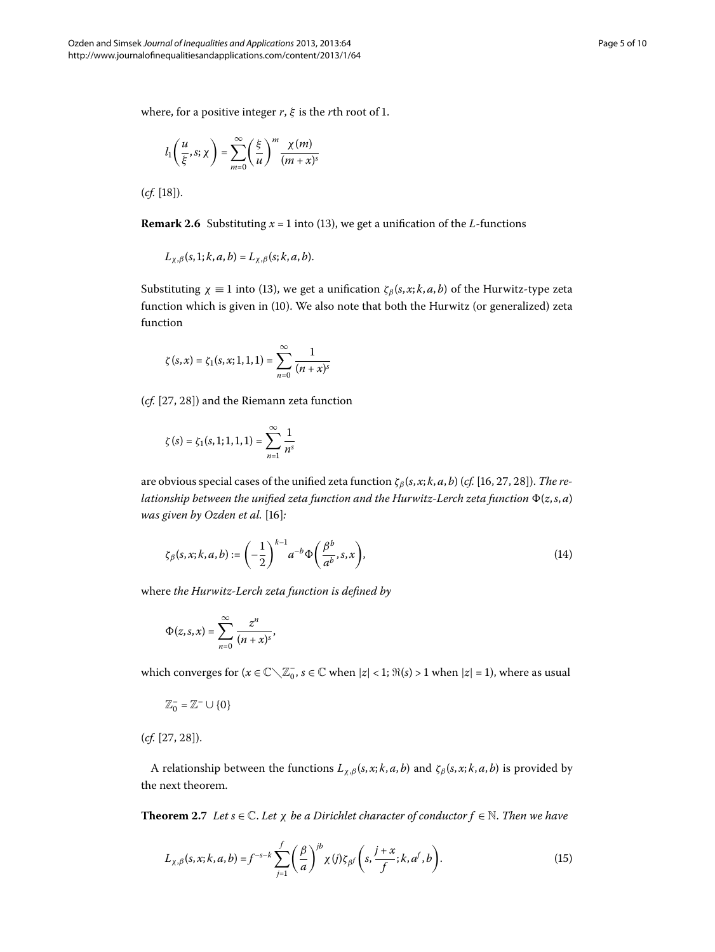where, for a positive integer  $r$ ,  $\xi$  is the  $r$ th root of 1.

$$
l_1\left(\frac{u}{\xi},s;\chi\right)=\sum_{m=0}^{\infty}\left(\frac{\xi}{u}\right)^m\frac{\chi(m)}{(m+x)^s}
$$

 $(cf. [18])$  $(cf. [18])$  $(cf. [18])$ .

**Remark 2.6** Substituting  $x = 1$  into [\(](#page-3-3)13), we get a unification of the *L*-functions

$$
L_{\chi,\beta}(s,1;k,a,b)=L_{\chi,\beta}(s;k,a,b).
$$

Substituting  $\chi \equiv 1$  into (13[\)](#page-3-3), we get a unification  $\zeta_\beta(s, x; k, a, b)$  of the Hurwitz-type zeta function which is given in [\(](#page-3-1)10). We also note that both the Hurwitz (or generalized) zeta function

$$
\zeta(s,x) = \zeta_1(s,x;1,1,1) = \sum_{n=0}^{\infty} \frac{1}{(n+x)^s}
$$

 $(cf. [27, 28])$  $(cf. [27, 28])$  $(cf. [27, 28])$  and the Riemann zeta function

<span id="page-4-1"></span>
$$
\zeta(s) = \zeta_1(s,1;1,1,1) = \sum_{n=1}^{\infty} \frac{1}{n^s}
$$

are obvious special cases of the unified zeta function *ζβ* (*s*, *x*; *k*, *a*, *b*) (*cf.* [[,](#page-8-4) [,](#page-8-7) ]). *The relationship between the unified zeta function and the Hurwitz-Lerch zeta function* (*z*,*s*, *a*) *was given by Ozden et al.* [16]:

$$
\zeta_{\beta}(s,x;k,a,b) := \left(-\frac{1}{2}\right)^{k-1} a^{-b} \Phi\left(\frac{\beta^b}{a^b},s,x\right),\tag{14}
$$

where *the Hurwitz-Lerch zeta function is defined by*

$$
\Phi(z,s,x)=\sum_{n=0}^{\infty}\frac{z^n}{(n+x)^s},
$$

which converges for  $(x \in \mathbb{C} \setminus \mathbb{Z}_0^-, s \in \mathbb{C}$  when  $|z| < 1$ ;  $\Re(s) > 1$  when  $|z| = 1$ ), where as usual

<span id="page-4-0"></span>
$$
\mathbb{Z}^-_0=\mathbb{Z}^-\cup\{0\}
$$

 $(cf. [27, 28]).$  $(cf. [27, 28]).$  $(cf. [27, 28]).$ 

A relationship between the functions  $L_{\chi,\beta}(s,x;k,a,b)$  and  $\zeta_{\beta}(s,x;k,a,b)$  is provided by the next theorem.

**Theorem 2.7** *Let*  $s \in \mathbb{C}$ *. Let*  $\chi$  *be a Dirichlet character of conductor*  $f \in \mathbb{N}$ *. Then we have* 

$$
L_{\chi,\beta}(s,x;k,a,b) = f^{-s-k} \sum_{j=1}^{f} \left(\frac{\beta}{a}\right)^{jb} \chi(j) \zeta_{\beta} f\left(s,\frac{j+x}{f};k,a^f,b\right). \tag{15}
$$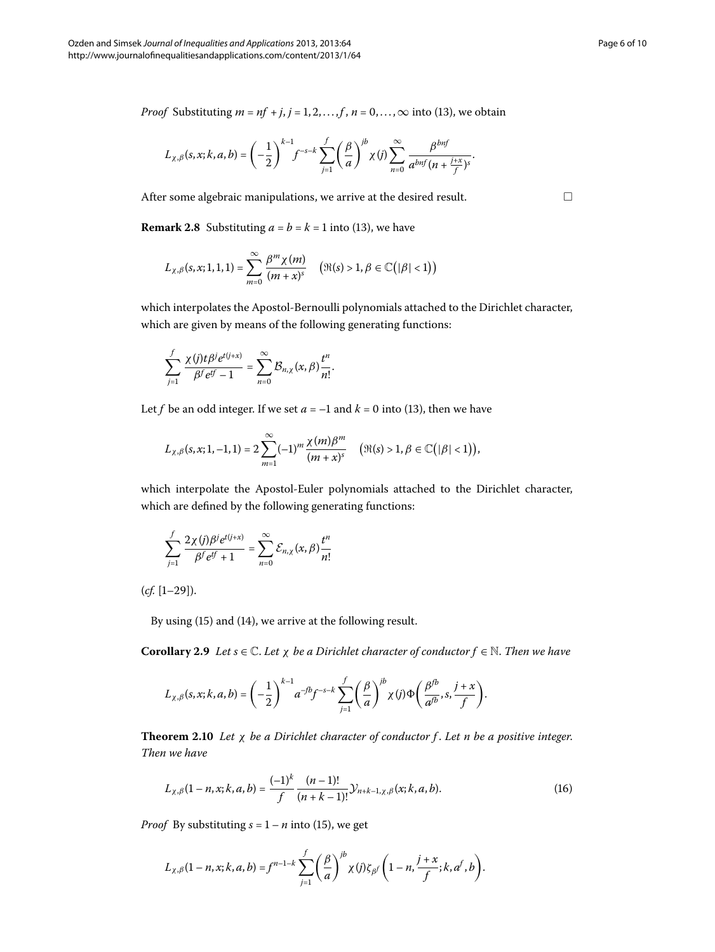*Proof* Substituting  $m = nf + j$ ,  $j = 1, 2, ..., f$ ,  $n = 0, ..., \infty$  into [\(](#page-3-3)13), we obtain

$$
L_{\chi,\beta}(s,x;k,a,b) = \left(-\frac{1}{2}\right)^{k-1} f^{-s-k} \sum_{j=1}^f \left(\frac{\beta}{a}\right)^{jb} \chi(j) \sum_{n=0}^\infty \frac{\beta^{bnf}}{a^{bnf} (n+\frac{j+x}{f})^s}.
$$

After some algebraic manipulations, we arrive at the desired result.

**Remark 2.8** Substituting  $a = b = k = 1$  into (13[\)](#page-3-3), we have

$$
L_{\chi,\beta}(s,x;1,1,1)=\sum_{m=0}^{\infty}\frac{\beta^m\chi(m)}{(m+x)^s}\quad \big(\Re(s)>1,\beta\in\mathbb{C}\big(|\beta|<1\big)\big)
$$

which interpolates the Apostol-Bernoulli polynomials attached to the Dirichlet character, which are given by means of the following generating functions:

$$
\sum_{j=1}^f \frac{\chi(j)t\beta^j e^{t(j+x)}}{\beta^f e^{tf}-1}=\sum_{n=0}^\infty \mathcal{B}_{n,\chi}(x,\beta)\frac{t^n}{n!}.
$$

Let *f* be an odd integer. If we set  $a = -1$  and  $k = 0$  into [\(](#page-3-3)13), then we have

$$
L_{\chi,\beta}(s,x;1,-1,1) = 2 \sum_{m=1}^{\infty} (-1)^m \frac{\chi(m)\beta^m}{(m+x)^s} \quad (\Re(s) > 1, \beta \in \mathbb{C}(|\beta| < 1)),
$$

which interpolate the Apostol-Euler polynomials attached to the Dirichlet character, which are defined by the following generating functions:

$$
\sum_{j=1}^{f} \frac{2\chi(j)\beta^{j}e^{t(j+x)}}{\beta^{f}e^{tf}+1} = \sum_{n=0}^{\infty} \mathcal{E}_{n,\chi}(x,\beta)\frac{t^{n}}{n!}
$$

 $(cf. [1-29]).$ 

By using  $(15)$  $(15)$  and  $(14)$ , we arrive at the following result.

**Corollary 2.9** Let  $s \in \mathbb{C}$ . Let  $\chi$  be a Dirichlet character of conductor  $f \in \mathbb{N}$ . Then we have

<span id="page-5-0"></span>
$$
L_{\chi,\beta}(s,x;k,a,b) = \left(-\frac{1}{2}\right)^{k-1} a^{-fb} f^{-s-k} \sum_{j=1}^f \left(\frac{\beta}{a}\right)^{jb} \chi(j) \Phi\left(\frac{\beta^{fb}}{a^{fb}},s,\frac{j+x}{f}\right).
$$

**Theorem .** *Let χ be a Dirichlet character of conductor f* . *Let n be a positive integer*. *Then we have*

$$
L_{\chi,\beta}(1-n,x;k,a,b) = \frac{(-1)^k}{f} \frac{(n-1)!}{(n+k-1)!} \mathcal{Y}_{n+k-1,\chi,\beta}(x;k,a,b). \tag{16}
$$

*Proof* By substituting  $s = 1 - n$  into (15), we get

$$
L_{\chi,\beta}(1-n,x;k,a,b)=f^{n-1-k}\sum_{j=1}^f\left(\frac{\beta}{a}\right)^{jb}\chi(j)\zeta_{\beta}f\left(1-n,\frac{j+x}{f};k,a^f,b\right).
$$

 $\Box$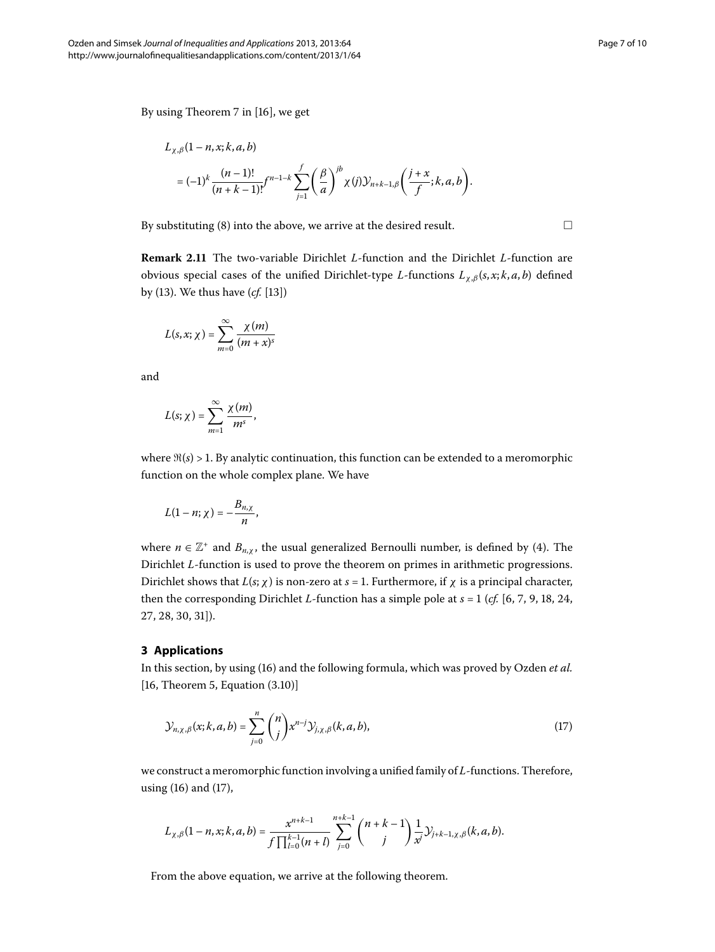$\Box$ 

By using Theorem 7 in [\[](#page-8-4)16], we get

$$
L_{\chi,\beta}(1-n,x;k,a,b)
$$
  
=  $(-1)^k \frac{(n-1)!}{(n+k-1)!} f^{n-1-k} \sum_{j=1}^f \left(\frac{\beta}{a}\right)^{jb} \chi(j) \mathcal{Y}_{n+k-1,\beta}\left(\frac{j+x}{f};k,a,b\right).$ 

By substituting [\(](#page-2-3)8) into the above, we arrive at the desired result.

**Remark 2.11** The two-variable Dirichlet *L*-function and the Dirichlet *L*-function are obvious special cases of the unified Dirichlet-type *L*-functions *L<sup>χ</sup>*,*<sup>β</sup>* (*s*, *x*; *k*, *a*, *b*) defined by (13[\)](#page-3-3). We thus have (*cf.* [13[\]](#page-8-9))

$$
L(s,x;\chi)=\sum_{m=0}^{\infty}\frac{\chi(m)}{(m+x)^s}
$$

and

$$
L(s; \chi) = \sum_{m=1}^{\infty} \frac{\chi(m)}{m^s},
$$

where  $\Re(s) > 1$ . By analytic continuation, this function can be extended to a meromorphic function on the whole complex plane. We have

$$
L(1-n; \chi) = -\frac{B_{n,\chi}}{n},
$$

where  $n \in \mathbb{Z}^+$  and  $B_{n,\chi}$ , the usual generalized Bernoulli number, is defined by (4). The Dirichlet *L*-function is used to prove the theorem on primes in arithmetic progressions. Dirichlet shows that  $L(s; \chi)$  is non-zero at  $s = 1$ . Furthermore, if  $\chi$  is a principal character, then the corresponding Dirichlet *L*-function has a simple pole at  $s = 1$  (*cf.* [6[,](#page-8-13) 7, 9, 18, 24, 27[,](#page-8-7) 28, 30, 31[\]](#page-8-15)).

#### **3 Applications**

In this section, by using [\(](#page-5-0)16) and the following formula, which was proved by Ozden et al.  $[16,$  $[16,$  Theorem 5, Equation  $(3.10)]$ 

<span id="page-6-0"></span>
$$
\mathcal{Y}_{n,\chi,\beta}(x;k,a,b) = \sum_{j=0}^{n} \binom{n}{j} x^{n-j} \mathcal{Y}_{j,\chi,\beta}(k,a,b),\tag{17}
$$

we construct a meromorphic function involving a unified family of *L*-functions. Therefore, using  $(16)$  and  $(17)$ ,

$$
L_{\chi,\beta}(1-n,x;k,a,b)=\frac{x^{n+k-1}}{f\prod_{l=0}^{k-1}(n+l)}\sum_{j=0}^{n+k-1}\binom{n+k-1}{j}\frac{1}{x^j}\mathcal{Y}_{j+k-1,\chi,\beta}(k,a,b).
$$

From the above equation, we arrive at the following theorem.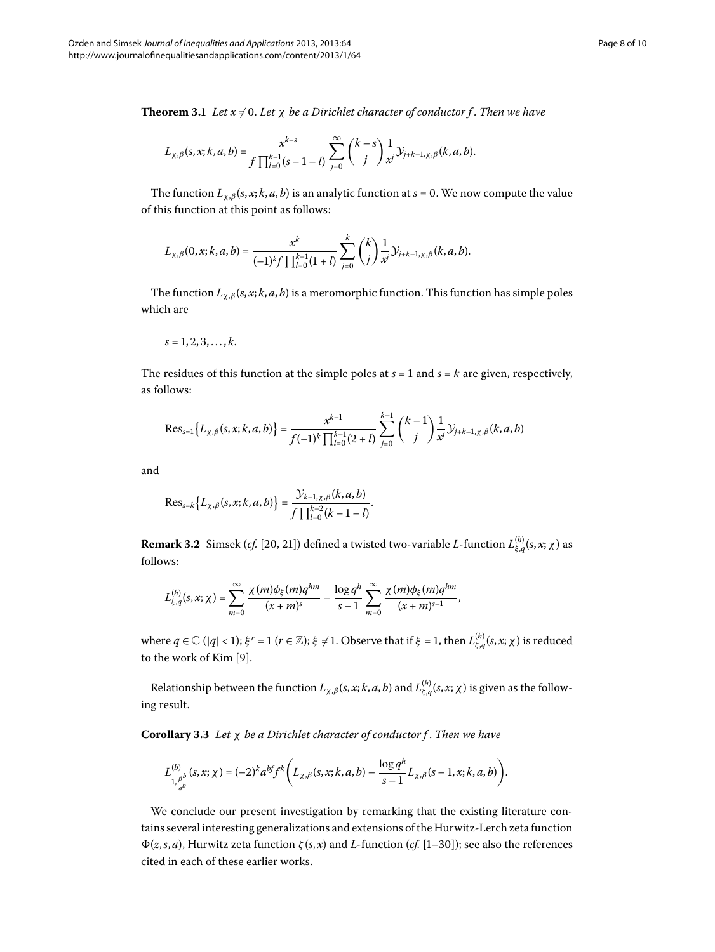**Theorem 3.1** Let  $x \neq 0$ . Let  $\chi$  be a Dirichlet character of conductor f. Then we have

$$
L_{\chi,\beta}(s,x;k,a,b)=\frac{x^{k-s}}{\int\prod_{l=0}^{k-1}(s-1-l)}\sum_{j=0}^{\infty}\binom{k-s}{j}\frac{1}{x}\mathcal{Y}_{j+k-1,\chi,\beta}(k,a,b).
$$

The function  $L_{\chi,\beta}(s,x;k,a,b)$  is an analytic function at  $s = 0$ . We now compute the value of this function at this point as follows:

$$
L_{\chi,\beta}(0,x;k,a,b)=\frac{x^k}{(-1)^k f \prod_{l=0}^{k-1} (1+l)} \sum_{j=0}^k \binom{k}{j} \frac{1}{x^j} \mathcal{Y}_{j+k-1,\chi,\beta}(k,a,b).
$$

The function  $L_{\chi,\beta}(s,x;k,a,b)$  is a meromorphic function. This function has simple poles which are

$$
s=1,2,3,\ldots,k.
$$

The residues of this function at the simple poles at  $s = 1$  and  $s = k$  are given, respectively, as follows:

$$
\text{Res}_{s=1}\big\{L_{\chi,\beta}(s,x;k,a,b)\big\}=\frac{x^{k-1}}{f(-1)^k\prod_{l=0}^{k-1}(2+l)}\sum_{j=0}^{k-1}\binom{k-1}{j}\frac{1}{x^j}\mathcal{Y}_{j+k-1,\chi,\beta}(k,a,b)
$$

and

$$
\text{Res}_{s=k}\big\{L_{\chi,\beta}(s,x;k,a,b)\big\}=\frac{\mathcal{Y}_{k-1,\chi,\beta}(k,a,b)}{\int \prod_{l=0}^{k-2}(k-1-l)}.
$$

 ${\bf Remark~3.2}$   $\,$  Simsek (*cf.*  $[20, 21]$ ) defined a twisted two-variable  $L$ -function  $L_{\xi,q}^{(h)}(s,x;\chi)$  as follows:

$$
L_{\xi,q}^{(h)}(s,x;\chi)=\sum_{m=0}^{\infty}\frac{\chi(m)\phi_{\xi}(m)q^{hm}}{(x+m)^s}-\frac{\log q^h}{s-1}\sum_{m=0}^{\infty}\frac{\chi(m)\phi_{\xi}(m)q^{hm}}{(x+m)^{s-1}},
$$

where  $q \in \mathbb{C}$  (| $q$ | < 1);  $\xi^r$  = 1 ( $r \in \mathbb{Z}$ );  $\xi \neq 1.$  Observe that if  $\xi$  = 1, then  $L_{\xi, q}^{(h)}(s, x; \chi)$  is reduced to the work of Kim [9[\]](#page-8-12).

Relationship between the function  $L_{\chi,\beta}(s,x;k,a,b)$  and  $L_{\xi,q}^{(h)}(s,x;\chi)$  is given as the following result.

**Corollary .** *Let χ be a Dirichlet character of conductor f* . *Then we have*

$$
L_{1,\frac{\beta b}{a^{b}}}^{(b)}(s,x;\chi) = (-2)^{k} a^{bf} f^{k}\bigg(L_{\chi,\beta}(s,x;k,a,b) - \frac{\log q^{h}}{s-1}L_{\chi,\beta}(s-1,x;k,a,b)\bigg).
$$

We conclude our present investigation by remarking that the existing literature contains several interesting generalizations and extensions of the Hurwitz-Lerch zeta function (*z*,*s*, *a*), Hurwitz zeta function *ζ* (*s*, *x*) and *L*-function (*cf.* [[–](#page-8-2)]); see also the references cited in each of these earlier works.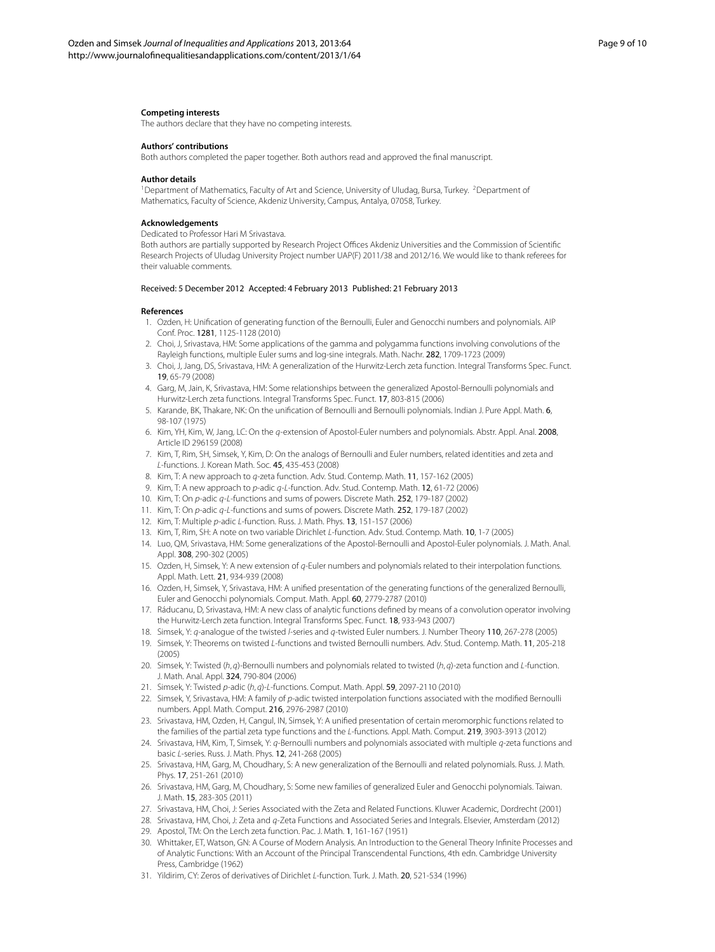#### <span id="page-8-1"></span><span id="page-8-0"></span>**Competing interests**

The authors declare that they have no competing interests.

#### **Authors' contributions**

Both authors completed the paper together. Both authors read and approved the final manuscript.

#### **Author details**

<sup>1</sup>Department of Mathematics, Faculty of Art and Science, University of Uludag, Bursa, Turkey. <sup>2</sup>Department of Mathematics, Faculty of Science, Akdeniz University, Campus, Antalya, 07058, Turkey.

#### <span id="page-8-2"></span>**Acknowledgements**

Dedicated to Professor Hari M Srivastava.

Both authors are partially supported by Research Project Offices Akdeniz Universities and the Commission of Scientific Research Projects of Uludag University Project number UAP(F) 2011/38 and 2012/16. We would like to thank referees for their valuable comments.

#### Received: 5 December 2012 Accepted: 4 February 2013 Published: 21 February 2013

#### <span id="page-8-10"></span>**References**

- 1. Ozden, H: Unification of generating function of the Bernoulli, Euler and Genocchi numbers and polynomials. AIP Conf. Proc. 1281, 1125-1128 (2010)
- <span id="page-8-11"></span>2. Choi, J, Srivastava, HM: Some applications of the gamma and polygamma functions involving convolutions of the Rayleigh functions, multiple Euler sums and log-sine integrals. Math. Nachr. 282, 1709-1723 (2009)
- 3. Choi, J, Jang, DS, Srivastava, HM: A generalization of the Hurwitz-Lerch zeta function. Integral Transforms Spec. Funct. 19, 65-79 (2008)
- <span id="page-8-12"></span>4. Garg, M, Jain, K, Srivastava, HM: Some relationships between the generalized Apostol-Bernoulli polynomials and Hurwitz-Lerch zeta functions. Integral Transforms Spec. Funct. 17, 803-815 (2006)
- 5. Karande, BK, Thakare, NK: On the unification of Bernoulli and Bernoulli polynomials. Indian J. Pure Appl. Math. 6, 98-107 (1975)
- <span id="page-8-9"></span>6. Kim, YH, Kim, W, Jang, LC: On the q-extension of Apostol-Euler numbers and polynomials. Abstr. Appl. Anal. 2008, Article ID 296159 (2008)
- 7. Kim, T, Rim, SH, Simsek, Y, Kim, D: On the analogs of Bernoulli and Euler numbers, related identities and zeta and L-functions. J. Korean Math. Soc. 45, 435-453 (2008)
- 8. Kim, T: A new approach to q-zeta function. Adv. Stud. Contemp. Math. 11, 157-162 (2005)
- <span id="page-8-4"></span>9. Kim, T: A new approach to p-adic q-L-function. Adv. Stud. Contemp. Math. 12, 61-72 (2006)
- 10. Kim, T: On p-adic q-L-functions and sums of powers. Discrete Math. 252, 179-187 (2002)
- 11. Kim, T: On p-adic q-L-functions and sums of powers. Discrete Math. 252, 179-187 (2002)
- <span id="page-8-6"></span>12. Kim, T: Multiple p-adic L-function. Russ. J. Math. Phys. 13, 151-157 (2006)
- 13. Kim, T, Rim, SH: A note on two variable Dirichlet L-function. Adv. Stud. Contemp. Math. 10, 1-7 (2005)
- 14. Luo, QM, Srivastava, HM: Some generalizations of the Apostol-Bernoulli and Apostol-Euler polynomials. J. Math. Anal. Appl. 308, 290-302 (2005)
- <span id="page-8-17"></span><span id="page-8-16"></span>15. Ozden, H, Simsek, Y: A new extension of q-Euler numbers and polynomials related to their interpolation functions. Appl. Math. Lett. 21, 934-939 (2008)
- 16. Ozden, H, Simsek, Y, Srivastava, HM: A unified presentation of the generating functions of the generalized Bernoulli, Euler and Genocchi polynomials. Comput. Math. Appl. 60, 2779-2787 (2010)
- 17. Ráducanu, D, Srivastava, HM: A new class of analytic functions defined by means of a convolution operator involving the Hurwitz-Lerch zeta function. Integral Transforms Spec. Funct. 18, 933-943 (2007)
- 18. Simsek, Y: q-analogue of the twisted l-series and q-twisted Euler numbers. J. Number Theory 110, 267-278 (2005)
- <span id="page-8-13"></span>19. Simsek, Y: Theorems on twisted L-functions and twisted Bernoulli numbers. Adv. Stud. Contemp. Math. 11, 205-218 (2005)
- 20. Simsek, Y: Twisted (h, q)-Bernoulli numbers and polynomials related to twisted (h, q)-zeta function and L-function. J. Math. Anal. Appl. 324, 790-804 (2006)
- <span id="page-8-5"></span>21. Simsek, Y: Twisted p-adic (h, q)-L-functions. Comput. Math. Appl. 59, 2097-2110 (2010)
- <span id="page-8-7"></span>22. Simsek, Y, Srivastava, HM: A family of p-adic twisted interpolation functions associated with the modified Bernoulli numbers. Appl. Math. Comput. 216, 2976-2987 (2010)
- <span id="page-8-8"></span><span id="page-8-3"></span>23. Srivastava, HM, Ozden, H, Cangul, IN, Simsek, Y: A unified presentation of certain meromorphic functions related to the families of the partial zeta type functions and the L-functions. Appl. Math. Comput. 219, 3903-3913 (2012)
- <span id="page-8-14"></span>24. Srivastava, HM, Kim, T, Simsek, Y: q-Bernoulli numbers and polynomials associated with multiple q-zeta functions and basic L-series. Russ. J. Math. Phys. 12, 241-268 (2005)
- <span id="page-8-15"></span>25. Srivastava, HM, Garg, M, Choudhary, S: A new generalization of the Bernoulli and related polynomials. Russ. J. Math. Phys. 17, 251-261 (2010)
- 26. Srivastava, HM, Garg, M, Choudhary, S: Some new families of generalized Euler and Genocchi polynomials. Taiwan. J. Math. 15, 283-305 (2011)
- 27. Srivastava, HM, Choi, J: Series Associated with the Zeta and Related Functions. Kluwer Academic, Dordrecht (2001)
- 28. Srivastava, HM, Choi, J: Zeta and q-Zeta Functions and Associated Series and Integrals. Elsevier, Amsterdam (2012)
- 29. Apostol, TM: On the Lerch zeta function. Pac. J. Math. 1, 161-167 (1951)
- 30. Whittaker, ET, Watson, GN: A Course of Modern Analysis. An Introduction to the General Theory Infinite Processes and of Analytic Functions: With an Account of the Principal Transcendental Functions, 4th edn. Cambridge University Press, Cambridge (1962)
- 31. Yildirim, CY: Zeros of derivatives of Dirichlet L-function. Turk. J. Math. 20, 521-534 (1996)